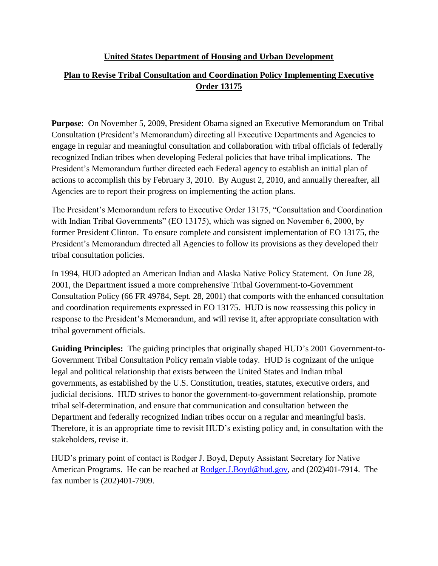#### **United States Department of Housing and Urban Development**

# **Plan to Revise Tribal Consultation and Coordination Policy Implementing Executive Order 13175**

**Purpose**: On November 5, 2009, President Obama signed an Executive Memorandum on Tribal Consultation (President's Memorandum) directing all Executive Departments and Agencies to engage in regular and meaningful consultation and collaboration with tribal officials of federally recognized Indian tribes when developing Federal policies that have tribal implications. The President's Memorandum further directed each Federal agency to establish an initial plan of actions to accomplish this by February 3, 2010. By August 2, 2010, and annually thereafter, all Agencies are to report their progress on implementing the action plans.

The President's Memorandum refers to Executive Order 13175, "Consultation and Coordination with Indian Tribal Governments" (EO 13175), which was signed on November 6, 2000, by former President Clinton. To ensure complete and consistent implementation of EO 13175, the President's Memorandum directed all Agencies to follow its provisions as they developed their tribal consultation policies.

In 1994, HUD adopted an American Indian and Alaska Native Policy Statement. On June 28, 2001, the Department issued a more comprehensive Tribal Government-to-Government Consultation Policy (66 FR 49784, Sept. 28, 2001) that comports with the enhanced consultation and coordination requirements expressed in EO 13175. HUD is now reassessing this policy in response to the President's Memorandum, and will revise it, after appropriate consultation with tribal government officials.

**Guiding Principles:** The guiding principles that originally shaped HUD's 2001 Government-to-Government Tribal Consultation Policy remain viable today. HUD is cognizant of the unique legal and political relationship that exists between the United States and Indian tribal governments, as established by the U.S. Constitution, treaties, statutes, executive orders, and judicial decisions. HUD strives to honor the government-to-government relationship, promote tribal self-determination, and ensure that communication and consultation between the Department and federally recognized Indian tribes occur on a regular and meaningful basis. Therefore, it is an appropriate time to revisit HUD's existing policy and, in consultation with the stakeholders, revise it.

HUD's primary point of contact is Rodger J. Boyd, Deputy Assistant Secretary for Native American Programs. He can be reached at [Rodger.J.Boyd@hud.gov,](mailto:Rodger.J.Boyd@hud.gov) and (202)401-7914. The fax number is (202)401-7909.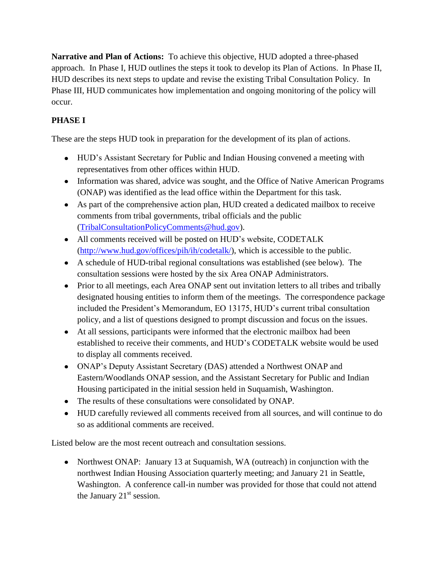**Narrative and Plan of Actions:** To achieve this objective, HUD adopted a three-phased approach. In Phase I, HUD outlines the steps it took to develop its Plan of Actions. In Phase II, HUD describes its next steps to update and revise the existing Tribal Consultation Policy. In Phase III, HUD communicates how implementation and ongoing monitoring of the policy will occur.

# **PHASE I**

These are the steps HUD took in preparation for the development of its plan of actions.

- HUD's Assistant Secretary for Public and Indian Housing convened a meeting with representatives from other offices within HUD.
- Information was shared, advice was sought, and the Office of Native American Programs (ONAP) was identified as the lead office within the Department for this task.
- As part of the comprehensive action plan, HUD created a dedicated mailbox to receive comments from tribal governments, tribal officials and the public [\(TribalConsultationPolicyComments@hud.gov\)](mailto:TribalConsultationPolicyComments@hud.gov).
- All comments received will be posted on HUD's website, CODETALK [\(http://www.hud.gov/offices/pih/ih/codetalk/\)](http://www.hud.gov/offices/pih/ih/codetalk/), which is accessible to the public.
- A schedule of HUD-tribal regional consultations was established (see below). The consultation sessions were hosted by the six Area ONAP Administrators.
- Prior to all meetings, each Area ONAP sent out invitation letters to all tribes and tribally designated housing entities to inform them of the meetings. The correspondence package included the President's Memorandum, EO 13175, HUD's current tribal consultation policy, and a list of questions designed to prompt discussion and focus on the issues.
- At all sessions, participants were informed that the electronic mailbox had been established to receive their comments, and HUD's CODETALK website would be used to display all comments received.
- ONAP's Deputy Assistant Secretary (DAS) attended a Northwest ONAP and Eastern/Woodlands ONAP session, and the Assistant Secretary for Public and Indian Housing participated in the initial session held in Suquamish, Washington.
- The results of these consultations were consolidated by ONAP.
- HUD carefully reviewed all comments received from all sources, and will continue to do so as additional comments are received.

Listed below are the most recent outreach and consultation sessions.

• Northwest ONAP: January 13 at Suquamish, WA (outreach) in conjunction with the northwest Indian Housing Association quarterly meeting; and January 21 in Seattle, Washington. A conference call-in number was provided for those that could not attend the January  $21<sup>st</sup>$  session.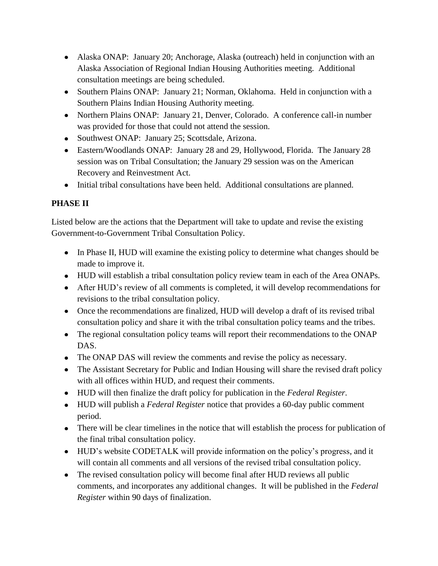- Alaska ONAP: January 20; Anchorage, Alaska (outreach) held in conjunction with an Alaska Association of Regional Indian Housing Authorities meeting. Additional consultation meetings are being scheduled.
- Southern Plains ONAP: January 21; Norman, Oklahoma. Held in conjunction with a Southern Plains Indian Housing Authority meeting.
- Northern Plains ONAP: January 21, Denver, Colorado. A conference call-in number was provided for those that could not attend the session.
- Southwest ONAP: January 25; Scottsdale, Arizona.
- Eastern/Woodlands ONAP: January 28 and 29, Hollywood, Florida. The January 28 session was on Tribal Consultation; the January 29 session was on the American Recovery and Reinvestment Act.
- Initial tribal consultations have been held. Additional consultations are planned.

# **PHASE II**

Listed below are the actions that the Department will take to update and revise the existing Government-to-Government Tribal Consultation Policy.

- In Phase II, HUD will examine the existing policy to determine what changes should be made to improve it.
- HUD will establish a tribal consultation policy review team in each of the Area ONAPs.
- After HUD's review of all comments is completed, it will develop recommendations for revisions to the tribal consultation policy.
- Once the recommendations are finalized, HUD will develop a draft of its revised tribal consultation policy and share it with the tribal consultation policy teams and the tribes.
- The regional consultation policy teams will report their recommendations to the ONAP DAS.
- The ONAP DAS will review the comments and revise the policy as necessary.
- The Assistant Secretary for Public and Indian Housing will share the revised draft policy with all offices within HUD, and request their comments.
- HUD will then finalize the draft policy for publication in the *Federal Register*.
- HUD will publish a *Federal Register* notice that provides a 60-day public comment period.
- There will be clear timelines in the notice that will establish the process for publication of the final tribal consultation policy.
- HUD's website CODETALK will provide information on the policy's progress, and it will contain all comments and all versions of the revised tribal consultation policy.
- The revised consultation policy will become final after HUD reviews all public comments, and incorporates any additional changes. It will be published in the *Federal Register* within 90 days of finalization.